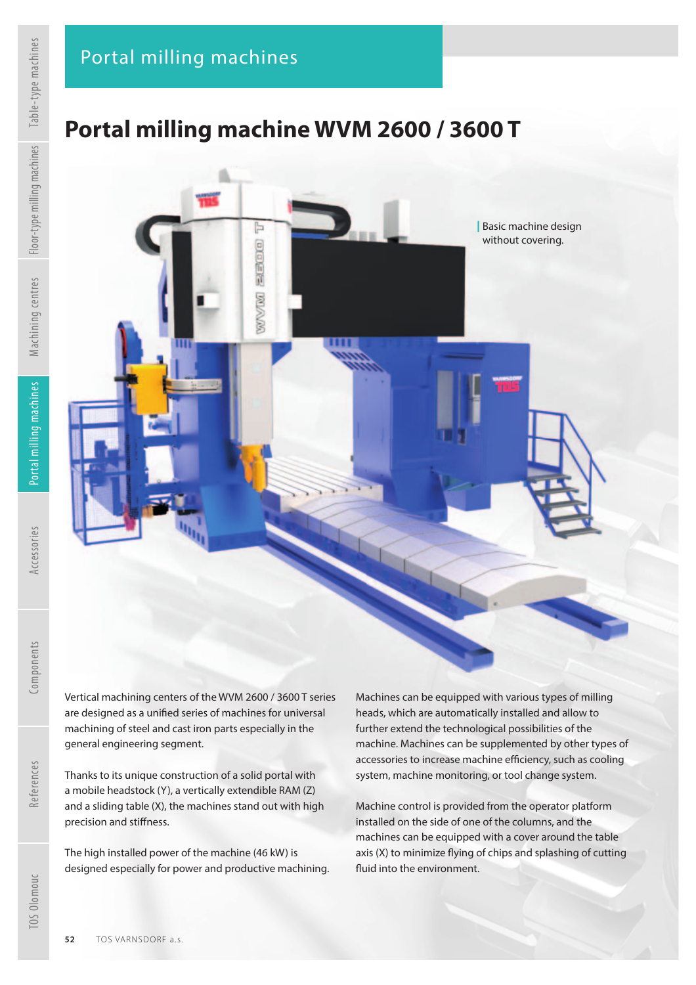## **Portal milling machine WVM 2600 / 3600 T**

F

定时间包

WWW



general engineering segment. Thanks to its unique construction of a solid portal with a mobile headstock (Y), a vertically extendible RAM (Z) and a sliding table (X), the machines stand out with high

The high installed power of the machine (46 kW) is designed especially for power and productive machining. Machines can be equipped with various types of milling heads, which are automatically installed and allow to further extend the technological possibilities of the machine. Machines can be supplemented by other types of accessories to increase machine efficiency, such as cooling system, machine monitoring, or tool change system.

| Basic machine design without covering.

Machine control is provided from the operator platform installed on the side of one of the columns, and the machines can be equipped with a cover around the table axis (X) to minimize flying of chips and splashing of cutting fluid into the environment.

Accessories

References

precision and stiffness.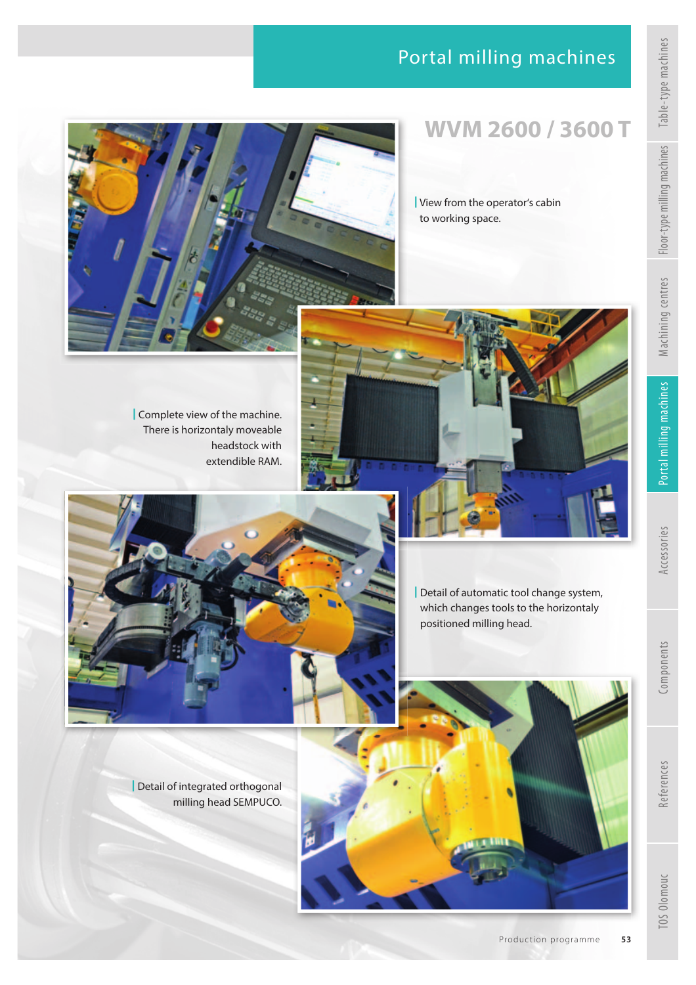### Portal milling machines





## **WVM 2600 / 3600 T**

| View from the operator's cabin to working space.

| Complete view of the machine. There is horizontaly moveable headstock with extendible RAM.





| Detail of automatic tool change system, which changes tools to the horizontaly positioned milling head.

| Detail of integrated orthogonal milling head SEMPUCO.

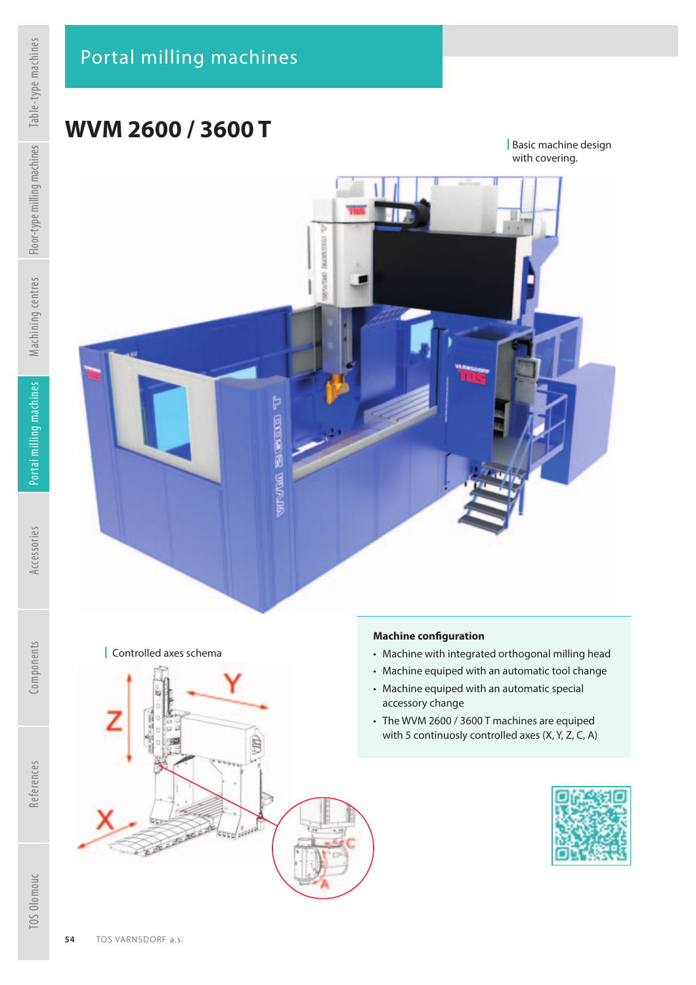# **WVM 2600 / 3600 T**

| Basic machine design with covering.



| Controlled axes schema



#### **Machine conf guration**

- Machine with integrated orthogonal milling head
- Machine equiped with an automatic tool change
- Machine equiped with an automatic special accessory change
- The WVM 2600 / 3600 T machines are equiped with 5 continuosly controlled axes (X, Y, Z, C, A)



References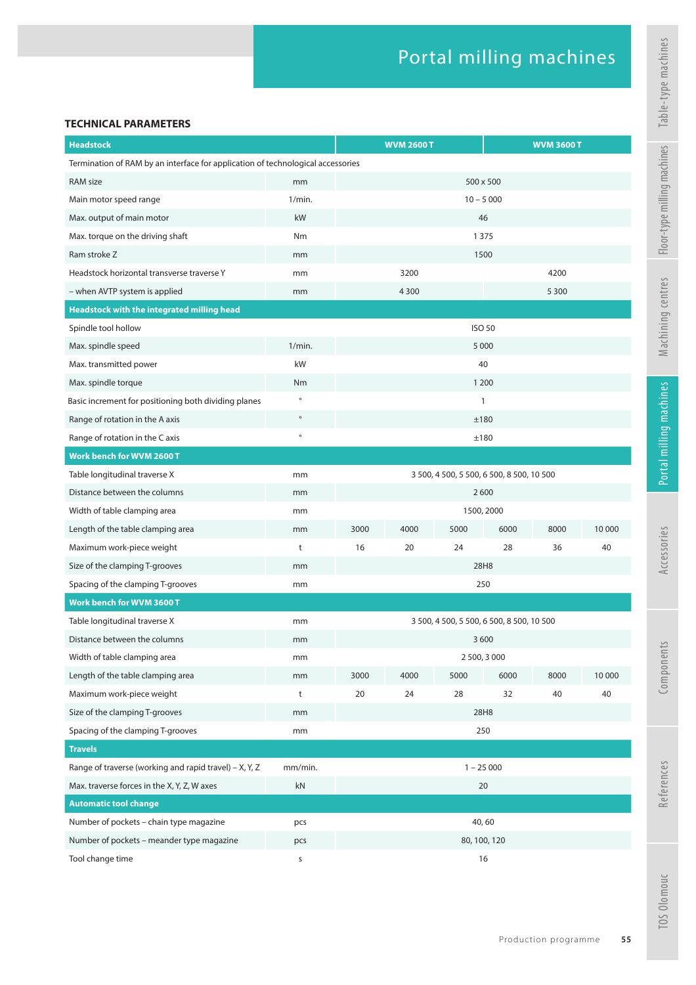#### **TECHNICAL PARAMETERS**

| <b>Headstock</b>                                                                |         |                                           | <b>WVM 2600 T</b> |      |           | <b>WVM 3600 T</b> |        |
|---------------------------------------------------------------------------------|---------|-------------------------------------------|-------------------|------|-----------|-------------------|--------|
| Termination of RAM by an interface for application of technological accessories |         |                                           |                   |      |           |                   |        |
| RAM size                                                                        | mm      |                                           |                   |      | 500 x 500 |                   |        |
| Main motor speed range                                                          | 1/min.  | $10 - 5000$                               |                   |      |           |                   |        |
| Max. output of main motor                                                       | kW      | 46                                        |                   |      |           |                   |        |
| Max. torque on the driving shaft                                                | Nm      | 1 3 7 5                                   |                   |      |           |                   |        |
| Ram stroke Z                                                                    | mm      | 1500                                      |                   |      |           |                   |        |
| Headstock horizontal transverse traverse Y                                      | mm      |                                           | 3200              |      |           | 4200              |        |
| - when AVTP system is applied                                                   | mm      |                                           | 4 3 0 0           |      |           | 5 3 0 0           |        |
| Headstock with the integrated milling head                                      |         |                                           |                   |      |           |                   |        |
| Spindle tool hollow                                                             |         | <b>ISO 50</b>                             |                   |      |           |                   |        |
| Max. spindle speed                                                              | 1/min.  | 5 0 0 0                                   |                   |      |           |                   |        |
| Max. transmitted power                                                          | kW      | 40                                        |                   |      |           |                   |        |
| Max. spindle torque                                                             | Nm      | 1 200                                     |                   |      |           |                   |        |
| Basic increment for positioning both dividing planes                            | $\circ$ | $\mathbf{1}$                              |                   |      |           |                   |        |
| Range of rotation in the A axis                                                 | $\circ$ | ±180                                      |                   |      |           |                   |        |
| Range of rotation in the C axis                                                 | $\circ$ | ±180                                      |                   |      |           |                   |        |
| <b>Work bench for WVM 2600 T</b>                                                |         |                                           |                   |      |           |                   |        |
| Table longitudinal traverse X                                                   | mm      | 3 500, 4 500, 5 500, 6 500, 8 500, 10 500 |                   |      |           |                   |        |
| Distance between the columns                                                    | mm      | 2600                                      |                   |      |           |                   |        |
| Width of table clamping area                                                    | mm      | 1500, 2000                                |                   |      |           |                   |        |
| Length of the table clamping area                                               | mm      | 3000                                      | 4000              | 5000 | 6000      | 8000              | 10 000 |
| Maximum work-piece weight                                                       | t       | 16                                        | 20                | 24   | 28        | 36                | 40     |
| Size of the clamping T-grooves                                                  | mm      | 28H8                                      |                   |      |           |                   |        |
| Spacing of the clamping T-grooves                                               | mm      | 250                                       |                   |      |           |                   |        |
| Work bench for WVM 3600 T                                                       |         |                                           |                   |      |           |                   |        |
| Table longitudinal traverse X                                                   | mm      | 3 500, 4 500, 5 500, 6 500, 8 500, 10 500 |                   |      |           |                   |        |
| Distance between the columns                                                    | mm      | 3 600                                     |                   |      |           |                   |        |
| Width of table clamping area                                                    | mm      | 2 500, 3 000                              |                   |      |           |                   |        |
| Length of the table clamping area                                               | mm      | 3000                                      | 4000              | 5000 | 6000      | 8000              | 10 000 |
| Maximum work-piece weight                                                       | t       | 20                                        | 24                | 28   | 32        | 40                | 40     |
| Size of the clamping T-grooves                                                  | mm      | 28H8                                      |                   |      |           |                   |        |
| Spacing of the clamping T-grooves                                               | mm      | 250                                       |                   |      |           |                   |        |
| <b>Travels</b>                                                                  |         |                                           |                   |      |           |                   |        |
| Range of traverse (working and rapid travel) - X, Y, Z                          | mm/min. | $1 - 25000$                               |                   |      |           |                   |        |
| Max. traverse forces in the X, Y, Z, W axes                                     | kN      | 20                                        |                   |      |           |                   |        |
| <b>Automatic tool change</b>                                                    |         |                                           |                   |      |           |                   |        |
| Number of pockets - chain type magazine                                         | pcs     | 40,60                                     |                   |      |           |                   |        |
| Number of pockets - meander type magazine                                       | pcs     | 80, 100, 120                              |                   |      |           |                   |        |
| Tool change time                                                                | s       | 16                                        |                   |      |           |                   |        |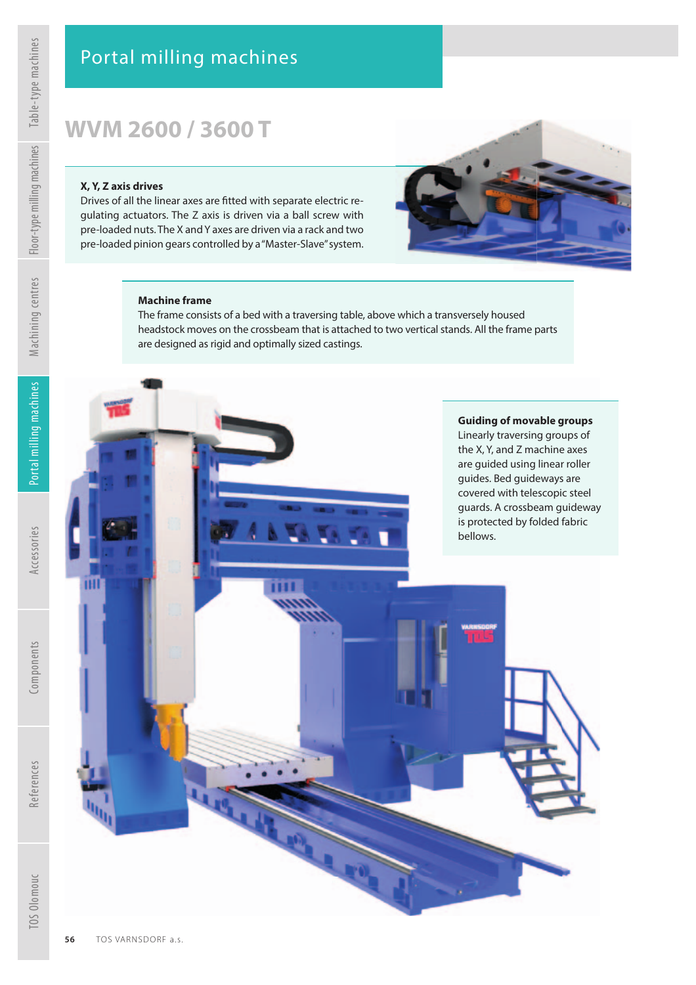# **WVM 2600 / 3600 T**

#### **X, Y, Z axis drives**

Drives of all the linear axes are fitted with separate electric regulating actuators. The Z axis is driven via a ball screw with pre-loaded nuts. The X and Y axes are driven via a rack and two pre-loaded pinion gears controlled by a "Master-Slave" system.



#### **Machine frame**

The frame consists of a bed with a traversing table, above which a transversely housed headstock moves on the crossbeam that is attached to two vertical stands. All the frame parts are designed as rigid and optimally sized castings.

#### **Guiding of movable groups**  Linearly traversing groups of the X, Y, and Z machine axes are guided using linear roller guides. Bed guideways are covered with telescopic steel guards. A crossbeam guideway is protected by folded fabric

bellows.

ш

References

TOS Olomouc